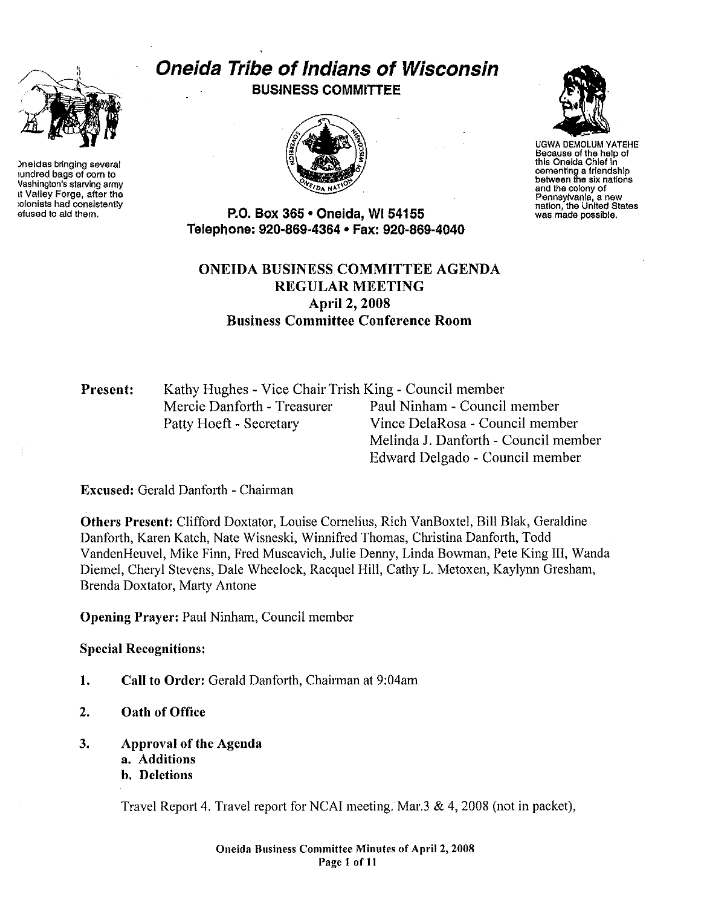

)neidas bringing several 1undred bags of corn to Vashington's starving army tt Valley Forge, after the :olonists had consistently efused to aid them.

# Oneida Tribe of Indians of Wisconsin BUSINESS COMMITTEE





UGWA OEMOLUM YATEHE Because of the help of this Oneida Chlef in cementing a friendship between the six nations and the colony of Pennsylvania, a new nation, the United States was made possible.

P.O. Box 365 • Oneida, WI 54155 Telephone: 920·869·4364 • Fax: 920·869·4040

# ONEIDA BUSINESS COMMITTEE AGENDA REGULAR MEETING April 2, 2008 Business Committee Conference Room

# Present: Kathy Hughes - Vice Chair Trish King - Council member Mercie Danforth - Treasurer Paul Ninham - Council member Patty Hoeft - Secretary Vince DelaRosa - Council member

Melinda J. Danforth - Council member Edward Delgado - Council member

Excused: Gerald Danforth - Chairman

Others Present: Clifford Doxtator, Louise Cornelius, Rich VanBoxtel, Bill Blak, Geraldine Danfotih, Karen Katch, Nate Wisneski, Winnifred Thomas, Christina Danforth, Todd VandenHeuvel, Mike Finn, Fred Muscavich, Julie Denny, Linda Bowman, Pete King lll, Wanda Diemel, Chetyl Stevens, Dale Wheelock, Racquel Hill, Cathy L. Metoxen, Kaylynn Gresham, Brenda Doxtator, Marty Antone

Opening Prayer: Paul Ninham, Council member

Special Recognitions:

- 1. Call to Order: Gerald Danforth, Chairman at 9:04am
- 2. Oath of Office
- 3. Approval of the Agenda
	- a. Additions
	- b. Deletions

Travel Report 4. Travel report for NCAI meeting. Mar.3  $\&$  4, 2008 (not in packet),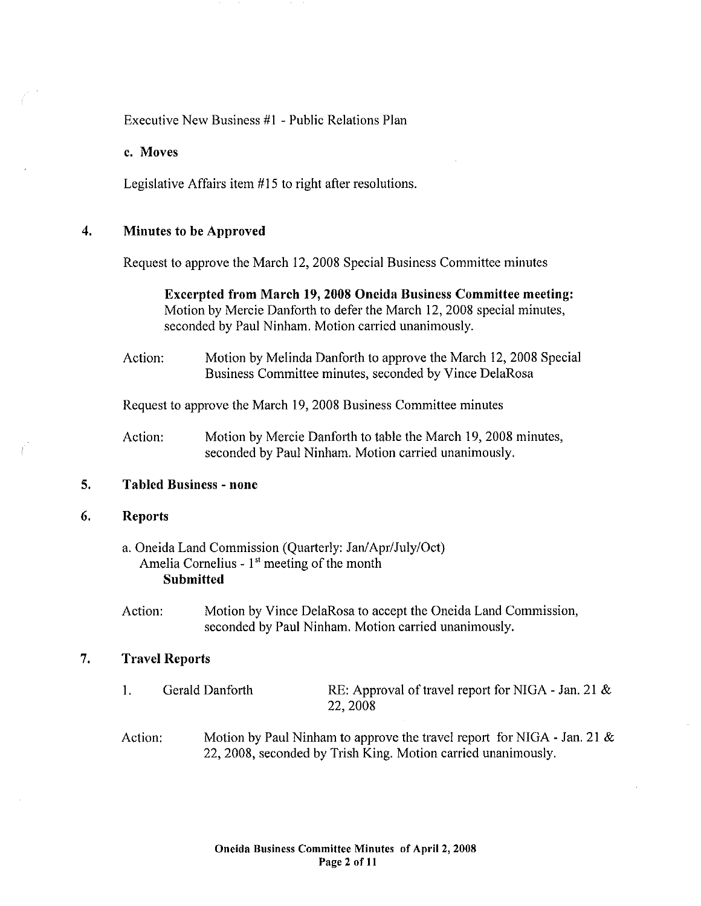Executive New Business #I -Public Relations Plan

c. Moves

Legislative Affairs item  $#15$  to right after resolutions.

### 4. Minutes to be Approved

Request to approve the March 12, 2008 Special Business Committee minutes

Excerpted from March 19,2008 Oneida Business Committee meeting: Motion by Mercie Danforth to defer the March 12, 2008 special minutes, seconded by Paul Ninham. Motion carried unanimously.

Action: Motion by Melinda Danforth to approve the March 12, 2008 Special Business Committee minutes, seconded by Vince DelaRosa

Request to approve the March 19, 2008 Business Committee minutes

Action: Motion by Mercie Danforth to table the March 19, 2008 minutes, seconded by Paul Ninham. Motion carried unanimously.

# 5. Tabled Business - none

### 6. Reports

a. Oneida Land Commission (Quarterly: Jan/Apr/July/Oct) Amelia Cornelius- 1" meeting of the month Submitted

Action: Motion by Vince DelaRosa to accept the Oneida Land Commission, seconded by Paul Ninham. Motion carried unanimously.

# 7. Travel Reports

- I. Gerald Danforth RE: Approval of travel report for NIGA - Jan. 21 & 22,2008
- Action: Motion by Paul Ninham to approve the travel report for NIGA - Jan. 21  $\&$ 22, 2008, seconded by Trish King. Motion carried unanimously.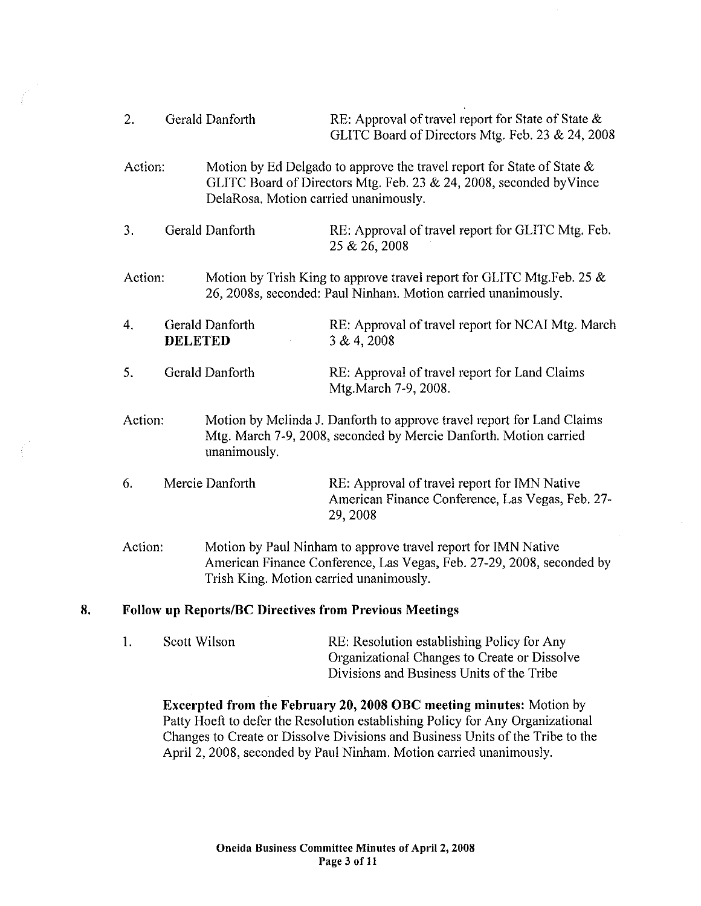- 2. Gerald Danforth RE: Approval of travel report for State of State & GLITC Board of Directors Mtg. Feb. 23 & 24, 2008
- Action: Motion by Ed Delgado to approve the travel report for State of State & GLITC Board of Directors Mtg. Feb. 23 & 24, 2008, seconded byVince DelaRosa. Motion carried unanimously.
- 3. Gerald Danforth RE: Approval of travel report for GLITC Mtg. Feb. 25 &26, 2008
- Action: Motion by Trish King to approve travel report for GLITC Mtg.Feb. 25 & 26, 2008s, seconded: Paul Ninham. Motion carried unanimously.
- 4. Gerald Danforth **DELETED**  RE: Approval of travel report for NCAI Mtg. March 3 & 4, 2008
- 5. Gerald Danfotih RE: Approval of travel report for Land Claims Mtg.March 7-9, 2008.
- Action: Motion by Melinda J. Danfotih to approve travel report for Land Claims Mtg. March 7-9, 2008, seconded by Mercie Danfotih. Motion carried unanimously.
- 6. Mercie Danforth RE: Approval of travel report for IMN Native American Finance Conference, Las Vegas, Feb. 27- 29,2008
- Action: Motion by Paul Ninham to approve travel report for IMN Native American Finance Conference, Las Vegas, Feb. 27-29, 2008, seconded by Trish King. Motion carried unanimously.

### **8. Follow up Reports/BC Directives from Previous Meetings**

I. Scott Wilson RE: Resolution establishing Policy for Any Organizational Changes to Create or Dissolve Divisions and Business Units of the Tribe

**Excerpted from the February 20, 2008 OBC meeting minutes:** Motion by Patty Hoeft to defer the Resolution establishing Policy for Any Organizational Changes to Create or Dissolve Divisions and Business Units of the Tribe to the April 2, 2008, seconded by Paul Ninham. Motion carried unanimously.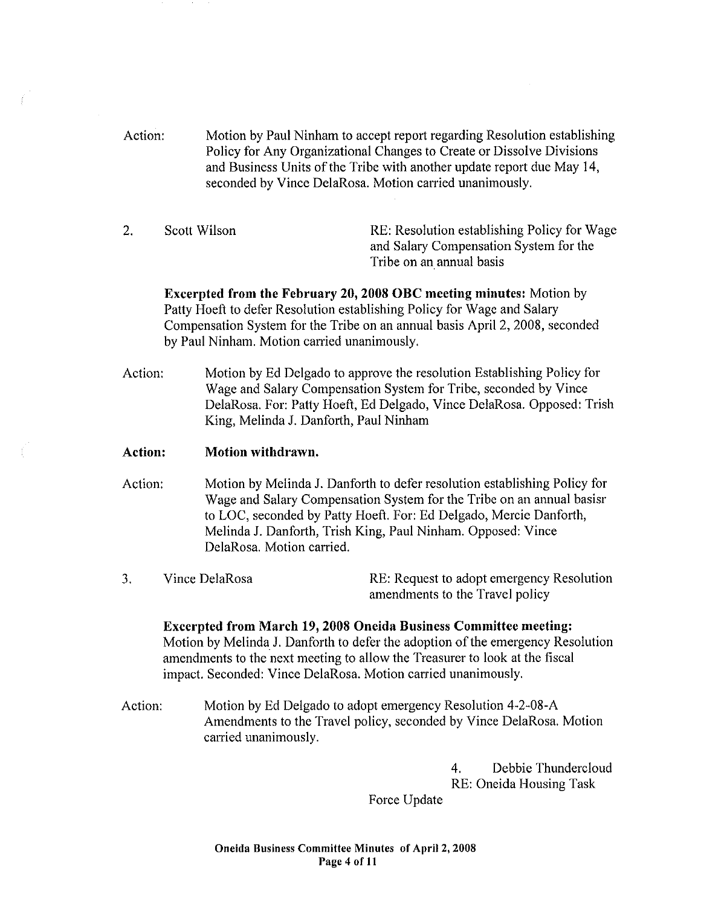- Action: Motion by Paul Ninham to accept report regarding Resolution establishing Policy for Any Organizational Changes to Create or Dissolve Divisions and Business Units of the Tribe with another update report due May 14, seconded by Vince DelaRosa. Motion carried unanimously.
- 2.

Scott Wilson RE: Resolution establishing Policy for Wage and Salary Compensation System for the Tribe on an annual basis

**Excerpted from the February 20, 2008 OBC meeting minutes:** Motion by Patty Hoeft to defer Resolution establishing Policy for Wage and Salary Compensation System for the Tribe on an annual basis April 2, 2008, seconded by Paul Ninham. Motion carried unanimously.

Action: Motion by Ed Delgado to approve the resolution Establishing Policy for Wage and Salary Compensation System for Tribe, seconded by Vince DelaRosa. For: Patty Hoeft, Ed Delgado, Vince DelaRosa. Opposed: Trish King, Melinda J. Danforth, Paul Ninham

# **Action: Motion withdrawn.**

- Action: Motion by Melinda J. Danforth to defer resolution establishing Policy for Wage and Salary Compensation System for the Tribe on an annual basisr to LOC, seconded by Patty Hoeft. For: Ed Delgado, Mercie Danforth, Melinda J. Danforth, Trish King, Paul Ninham. Opposed: Vince DelaRosa. Motion carried.
- 3. Vince DelaRosa RE: Request to adopt emergency Resolution amendments to the Travel policy

**Excerpted from March 19, 2008 Oneida Business Committee meeting:**  Motion by Melinda J. Danforth to defer the adoption of the emergency Resolution amendments to the next meeting to allow the Treasurer to look at the fiscal impact. Seconded: Vince DelaRosa. Motion carried unanimously.

Action: Motion by Ed Delgado to adopt emergency Resolution 4-2-08-A Amendments to the Travel policy, seconded by Vince DelaRosa. Motion carried unanimously.

> 4. Debbie Thundercloud RE: Oneida Housing Task

Force Update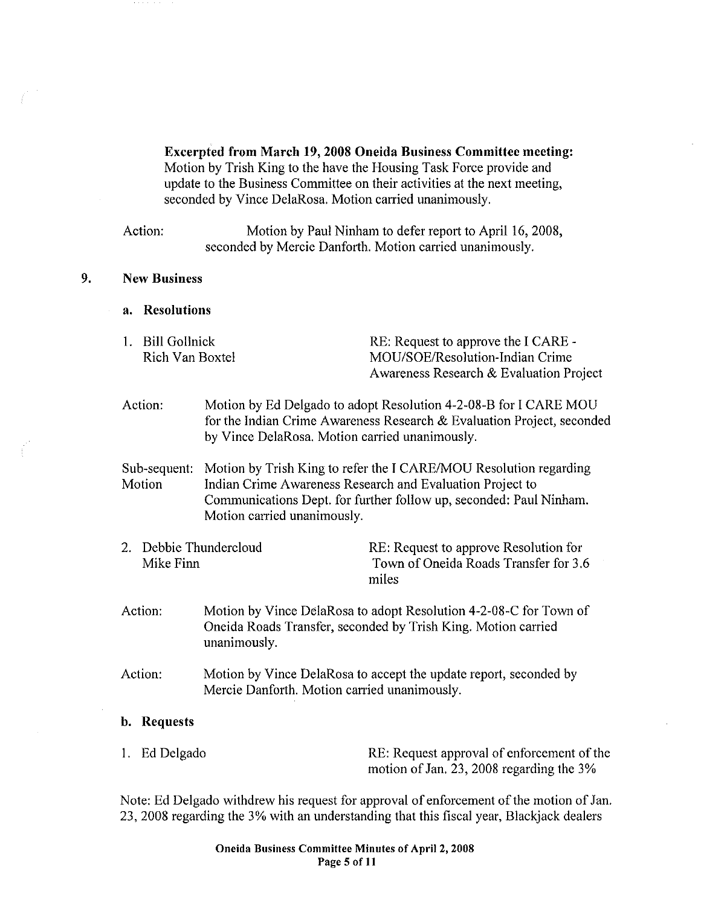Excerpted from March 19, 2008 Oneida Business Committee meeting: Motion by Trish King to the have the Housing Task Force provide and update to the Business Committee on their activities at the next meeting, seconded by Vince DelaRosa. Motion carried unanimously.

Action: Motion by Paul Ninham to defer report to April 16, 2008, seconded by Mercie Danforth. Motion carried unanimously.

# 9. New Business

- a. Resolutions
- 1. Bill Gollnick Rich Van Boxtel

RE: Request to approve the I CARE - MOU/SOE/Resolution-Indian Crime Awareness Research & Evaluation Project

Action: Motion by Ed Delgado to adopt Resolution 4-2-08-B for I CARE MOU for the Indian Crime Awareness Research & Evaluation Project, seconded by Vince DelaRosa. Motion carried unanimously.

Sub-sequent: **Motion** Motion by Trish King to refer the I CARE/MOU Resolution regarding Indian Crime Awareness Research and Evaluation Project to Communications Dept. for further follow up, seconded: Paul Ninham. Motion carried unanimously.

2. Debbie Thundercloud Mike Finn

RE: Request to approve Resolution for Town of Oneida Roads Transfer for 3.6 miles

- Action: Motion by Vince DelaRosa to adopt Resolution 4-2-08-C for Town of Oneida Roads Transfer, seconded by Trish King. Motion carried unanimously.
- Action: Motion by Vince DelaRosa to accept the update report, seconded by Mercie Danforth. Motion carried unanimously.

### b. Requests

| 1. Ed Delgado | RE: Request approval of enforcement of the  |
|---------------|---------------------------------------------|
|               | motion of Jan. 23, 2008 regarding the $3\%$ |

Note: Ed Delgado withdrew his request for approval of enforcement of the motion of Jan. 23, 2008 regarding the 3% with an understanding that this fiscal year, Blackjack dealers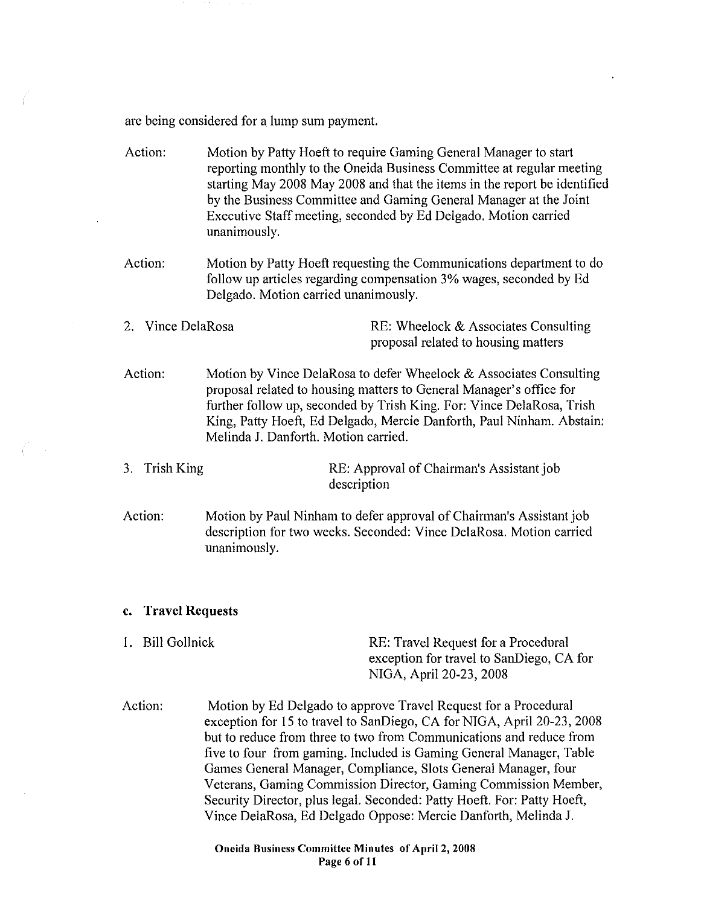are being considered for a lump sum payment.

- Action: Motion by Patty Hoeft to require Gaming General Manager to start reporting monthly to the Oneida Business Committee at regular meeting starting May 2008 May 2008 and that the items in the report be identified by the Business Committee and Gaming General Manager at the Joint Executive Staff meeting, seconded by Ed Delgado. Motion carried unanimously.
- Action: Motion by Patty Hoeft requesting the Communications depatiment to do follow up articles regarding compensation 3% wages, seconded by Ed Delgado. Motion carried unanimously.
- 2. Vince DelaRosa RE: Wheelock & Associates Consulting proposal related to housing matters
- Action: Motion by Vince DelaRosa to defer Wheelock & Associates Consulting proposal related to housing matters to General Manager's office for further follow up, seconded by Trish King. For: Vince DelaRosa, Trish King, Patty Hoeft, Ed Delgado, Mercie Danforth, Paul Ninham. Abstain: Melinda J. Danforth. Motion carried.

3. Trish King RE: Approval of Chairman's Assistant job description

Action: Motion by Paul Ninham to defer approval of Chairman's Assistant job description for two weeks. Seconded: Vince DelaRosa. Motion carried unanimously.

#### **c. Travel Requests**

- 1. Bill Gollnick RE: Travel Request for a Procedural exception for travel to SanDiego, CA for NIGA, April20-23, 2008
- Action: Motion by Ed Delgado to approve Travel Request for a Procedural exception for 15 to travel to SanDiego, CA for NIGA, April 20-23, 2008 but to reduce from three to two from Communications and reduce from five to four from gaming. Included is Gaming General Manager, Table Games General Manager, Compliance, Slots General Manager, four Veterans, Gaming Commission Director, Gaming Commission Member, Security Director, plus legal. Seconded: Patty Hoeft. For: Patty Hoeft, Vince DelaRosa, Ed Delgado Oppose: Mercie Danforth, Melinda J.

Oneida Business Committee Minutes of April 2, 2008 Page 6 of II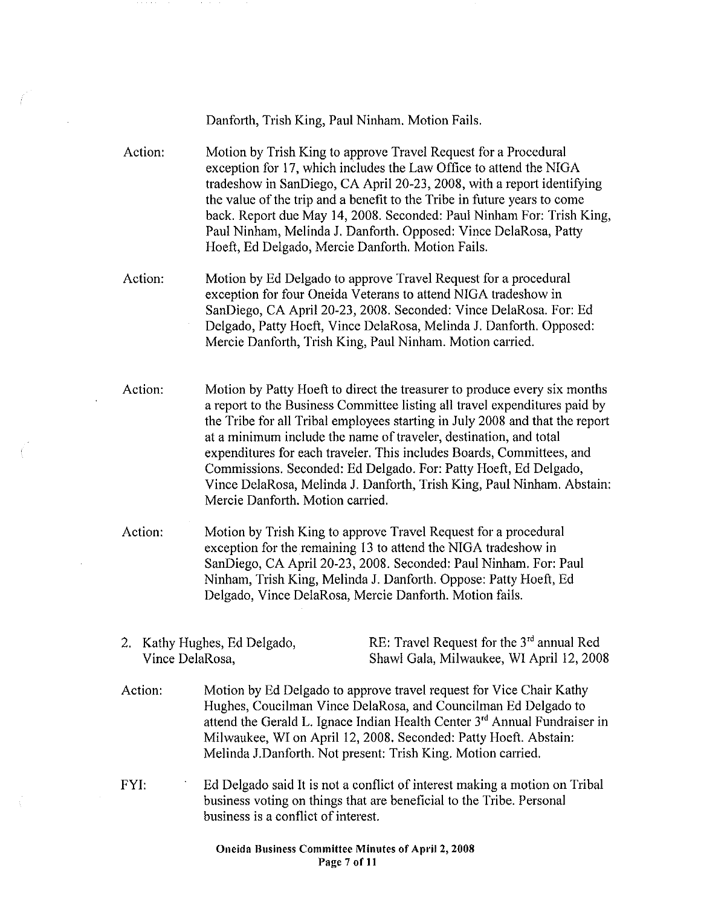Danforth, Trish King, Paul Ninham. Motion Fails.

Action: Motion by Trish King to approve Travel Request for a Procedural exception for 17, which includes the Law Office to attend the NIGA tradeshow in SanDiego, CA April 20-23, 2008, with a report identifying the value of the trip and a benefit to the Tribe in future years to come back. Report due May 14, 2008. Seconded: Paul Ninham For: Trish King, Paul Ninham, Melinda J. Danforth. Opposed: Vince DelaRosa, Patty Hoeft, Ed Delgado, Mercie Danforth. Motion Fails.

- Action: Motion by Ed Delgado to approve Travel Request for a procedural exception for four Oneida Veterans to attend NIGA tradeshow in SanDiego, CA April20-23, 2008. Seconded: Vince DelaRosa. For: Ed Delgado, Patty Hoeft, Vince DelaRosa, Melinda J. Danforth. Opposed: Mercie Danforth, Trish King, Paul Ninham. Motion carried.
- Action: Motion by Patty Hoeft to direct the treasurer to produce every six months a report to the Business Committee listing all travel expenditures paid by the Tribe for all Tribal employees starting in July 2008 and that the report at a minimum include the name of traveler, destination, and total expenditures for each traveler. This includes Boards, Committees, and Commissions. Seconded: Ed Delgado. For: Patty Hoeft, Ed Delgado, Vince DelaRosa, Melinda J. Danforth, Trish King, Paul Ninham. Abstain: Mercie Danforth. Motion carried.

Action: Motion by Trish King to approve Travel Request for a procedural exception for the remaining 13 to attend the NIGA tradeshow in SanDiego, CA April20-23, 2008. Seconded: Paul Ninham. For: Paul Ninham, Trish King, Melinda J. Danforth. Oppose: Patty Hoeft, Ed Delgado, Vince DelaRosa, Mercie Danforth. Motion fails.

2. Kathy Hughes, Ed Delgado, Vince DelaRosa,

RE: Travel Request for the 3<sup>rd</sup> annual Red Shawl Gala, Milwaukee, WI April 12, 2008

- Action: Motion by Ed Delgado to approve travel request for Vice Chair Kathy Hughes, Coucilman Vince DelaRosa, and Councilman Ed Delgado to attend the Gerald L. Ignace Indian Health Center 3<sup>rd</sup> Annual Fundraiser in Milwaukee, WI on April 12, 2008. Seconded: Patty Hoeft. Abstain: Melinda J.Danforth. Not present: Trish King. Motion carried.
- FYI: Ed Delgado said It is not a conflict of interest making a motion on Tribal business voting on things that are beneficial to the Tribe. Personal business is a conflict of interest.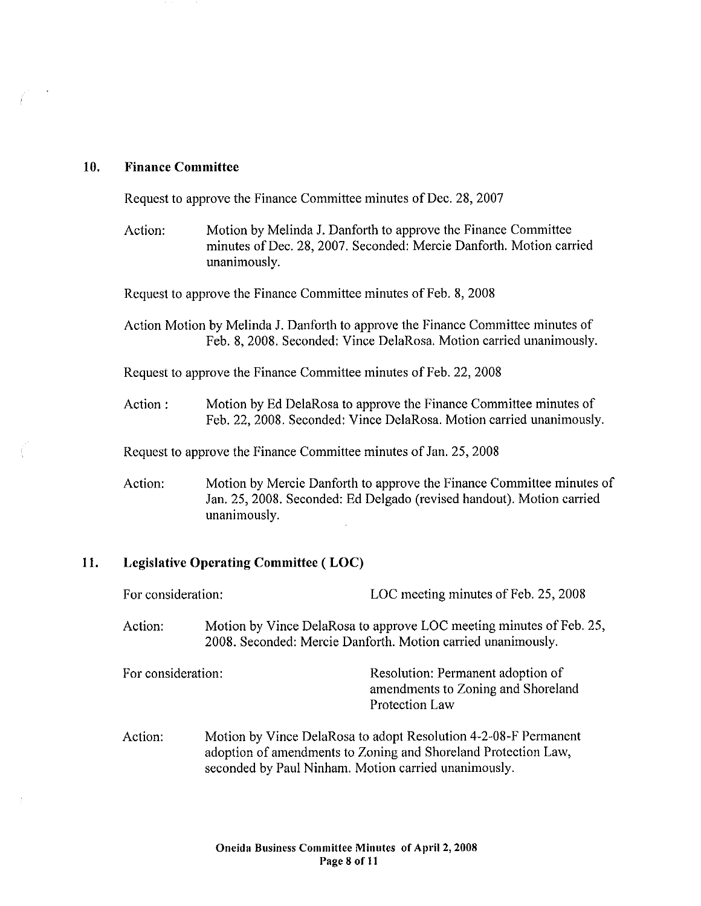# **10. Finance Committee**

Request to approve the Finance Committee minutes of Dec. 28, 2007

Action: Motion by Melinda J. Danforth to approve the Finance Committee minutes of Dec. 28, 2007. Seconded: Mercie Danforth. Motion carried unanimously.

Request to approve the Finance Committee minutes of Feb. 8, 2008

Action Motion by Melinda J. Danfotth to approve the Finance Committee minutes of Feb. 8, 2008. Seconded: Vince DelaRosa. Motion carried unanimously.

Request to approve the Finance Committee minutes of Feb. 22, 2008

Action: Motion by Ed DelaRosa to approve the Finance Committee minutes of Feb. 22, 2008. Seconded: Vince DelaRosa. Motion carried unanimously.

Request to approve the Finance Committee minutes of Jan. 25, 2008

Action: Motion by Mercie Danforth to approve the Finance Committee minutes of Jan. 25, 2008. Seconded: Ed Delgado (revised handout). Motion carried unanimously.

# **11. Legislative Operating Committee ( LOC)**

| For consideration: |                                                                                                                                                                                           | LOC meeting minutes of Feb. 25, 2008                                                                                                |
|--------------------|-------------------------------------------------------------------------------------------------------------------------------------------------------------------------------------------|-------------------------------------------------------------------------------------------------------------------------------------|
| Action:            |                                                                                                                                                                                           | Motion by Vince DelaRosa to approve LOC meeting minutes of Feb. 25,<br>2008. Seconded: Mercie Danforth. Motion carried unanimously. |
| For consideration: |                                                                                                                                                                                           | Resolution: Permanent adoption of<br>amendments to Zoning and Shoreland<br>Protection Law                                           |
| Action:            | Motion by Vince DelaRosa to adopt Resolution 4-2-08-F Permanent<br>adoption of amendments to Zoning and Shoreland Protection Law,<br>seconded by Paul Ninham. Motion carried unanimously. |                                                                                                                                     |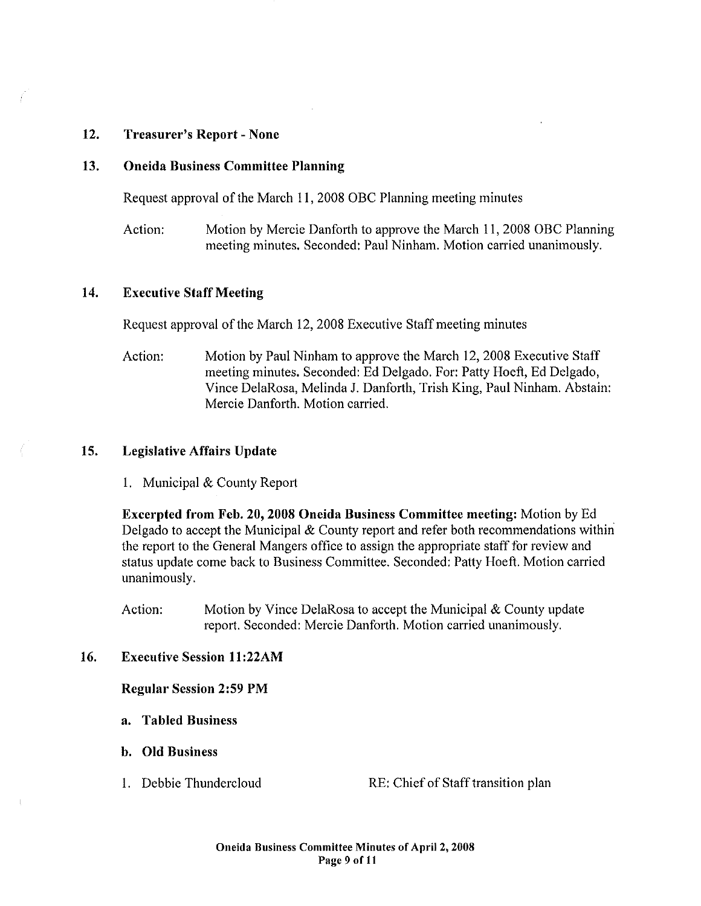# 12. Treasurer's Report- None

### 13. Oneida Business Committee Planning

Request approval of the March 11, 2008 OBC Planning meeting minutes

Action: Motion by Mercie Danforth to approve the March 11, 2008 OBC Planning meeting minutes. Seconded: Paul Ninham. Motion carried unanimously.

# 14. Executive Staff Meeting

Request approval of the March 12,2008 Executive Staff meeting minutes

Action: Motion by Paul Ninham to approve the March 12, 2008 Executive Staff meeting minutes. Seconded: Ed Delgado. For: Patty Hoeft, Ed Delgado, Vince DelaRosa, Melinda J. Danforth, Irish King, Paul Ninham. Abstain: Mercie Danforth. Motion carried.

### 15. Legislative Affairs Update

1. Municipal & County Report

Excerpted from Feb. 20, 2008 Oneida Business Committee meeting: Motion by Ed Delgado to accept the Municipal  $&$  County report and refer both recommendations within the report to the General Mangers office to assign the appropriate staff for review and status update come back to Business Committee. Seconded: Patty Hoeft. Motion carried unanimously.

Action: Motion by Vince DelaRosa to accept the Municipal & County update report. Seconded: Mercie Danforth. Motion carried unanimously.

# 16. Executive Session 11 :22AM

### Regular Session 2:59PM

- a. Tabled Business
- b. Old Business
- 

I. Debbie Thundercloud RE: Chief of Staff transition plan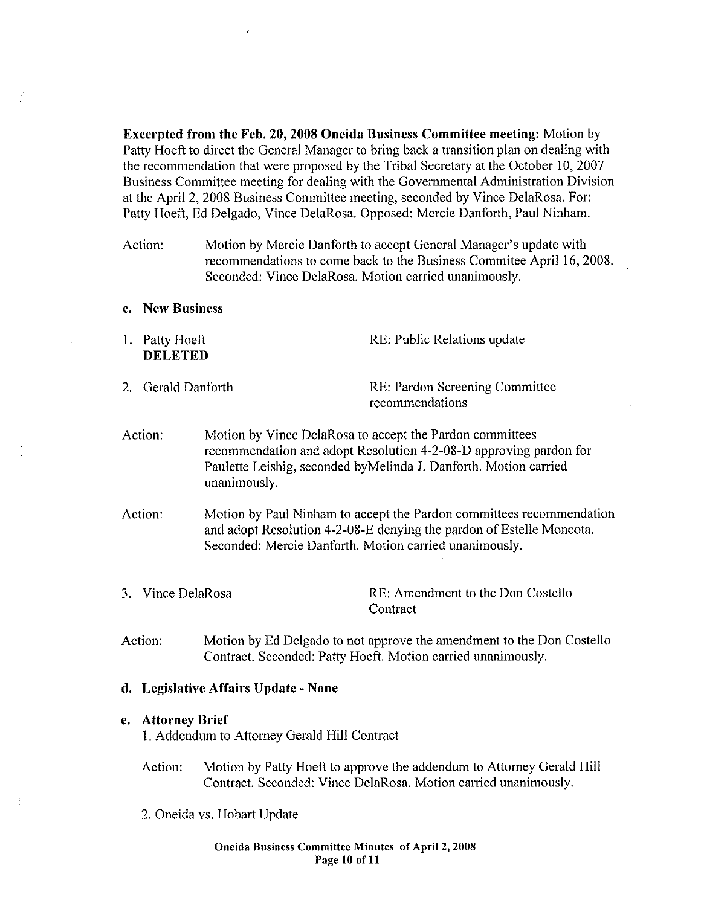Excerpted from the Feb. 20, 2008 Oneida Business Committee meeting: Motion by Patty Hoeft to direct the General Manager to bring back a transition plan on dealing with the recommendation that were proposed by the Tribal Secretary at the October 10, 2007 Business Committee meeting for dealing with the Govemmental Administration Division at the April 2, 2008 Business Committee meeting, seconded by Vince DelaRosa. For: Patty Hoeft, Ed Delgado, Vince DelaRosa. Opposed: Mercie Danforth, Paul Ninham.

- Action: Motion by Mercie Danforth to accept General Manager's update with recommendations to come back to the Business Commitee April 16, 2008. Seconded: Vince DelaRosa. Motion carried unanimously.
- c. New Business
- I. Patty Hoeft DELETED RE: Public Relations update
- 2. Gerald Danforth RE: Pardon Screening Committee recommendations
- Action: Motion by Vince DelaRosa to accept the Pardon committees recommendation and adopt Resolution 4-2-08-D approving pardon for Paulette Leishig, seconded by Melinda J. Danforth. Motion carried unanimously.
- Action: Motion by Paul Ninham to accept the Pardon committees recommendation and adopt Resolution 4-2-08-E denying the pardon of Estelle Moncota. Seconded: Mercie Danforth. Motion carried unanimously.
- 3. Vince DelaRosa RE: Amendment to the Don Costello **Contract**
- Action: Motion by Ed Delgado to not approve the amendment to the Don Costello Contract. Seconded: Patty Hoeft. Motion carried unanimously.

### d. Legislative Affairs Update- None

#### e. Attorney Brief

I. Addendum to Attorney Gerald Hill Contract

- Action: Motion by Patty Hoeft to approve the addendum to Attorney Gerald Hill Contract. Seconded: Vince DelaRosa. Motion carried unanimously.
- 2. Oneida vs. Hobart Update